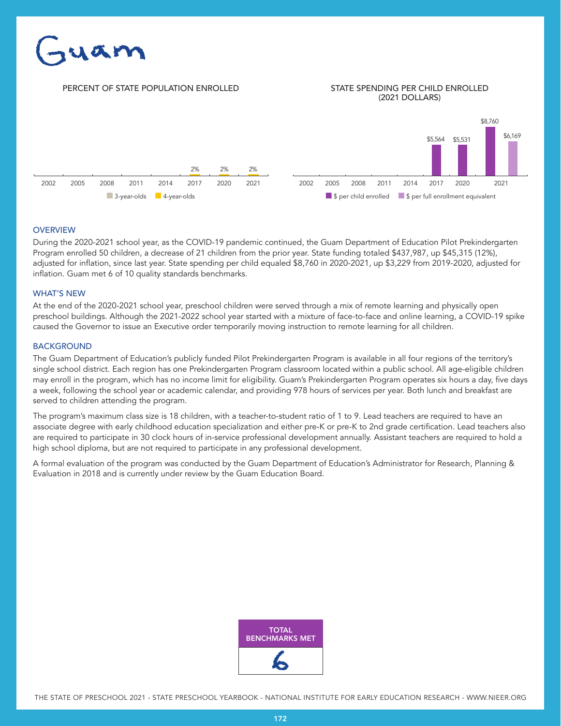

# PERCENT OF STATE POPULATION ENROLLED STATE SPENDING PER CHILD ENROLLED

# (2021 DOLLARS)



### **OVERVIEW**

During the 2020-2021 school year, as the COVID-19 pandemic continued, the Guam Department of Education Pilot Prekindergarten Program enrolled 50 children, a decrease of 21 children from the prior year. State funding totaled \$437,987, up \$45,315 (12%), adjusted for inflation, since last year. State spending per child equaled \$8,760 in 2020-2021, up \$3,229 from 2019-2020, adjusted for inflation. Guam met 6 of 10 quality standards benchmarks.

## WHAT'S NEW

At the end of the 2020-2021 school year, preschool children were served through a mix of remote learning and physically open preschool buildings. Although the 2021-2022 school year started with a mixture of face-to-face and online learning, a COVID-19 spike caused the Governor to issue an Executive order temporarily moving instruction to remote learning for all children.

## **BACKGROUND**

The Guam Department of Education's publicly funded Pilot Prekindergarten Program is available in all four regions of the territory's single school district. Each region has one Prekindergarten Program classroom located within a public school. All age-eligible children may enroll in the program, which has no income limit for eligibility. Guam's Prekindergarten Program operates six hours a day, five days a week, following the school year or academic calendar, and providing 978 hours of services per year. Both lunch and breakfast are served to children attending the program.

The program's maximum class size is 18 children, with a teacher-to-student ratio of 1 to 9. Lead teachers are required to have an associate degree with early childhood education specialization and either pre-K or pre-K to 2nd grade certification. Lead teachers also are required to participate in 30 clock hours of in-service professional development annually. Assistant teachers are required to hold a high school diploma, but are not required to participate in any professional development.

A formal evaluation of the program was conducted by the Guam Department of Education's Administrator for Research, Planning & Evaluation in 2018 and is currently under review by the Guam Education Board.



THE STATE OF PRESCHOOL 2021 - STATE PRESCHOOL YEARBOOK - NATIONAL INSTITUTE FOR EARLY EDUCATION RESEARCH - WWW.NIEER.ORG